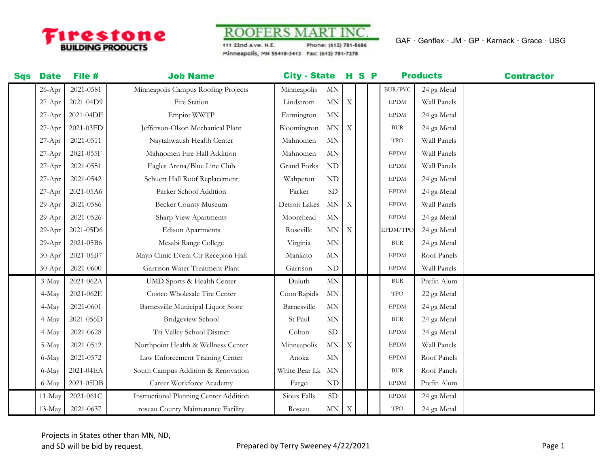

**ROOFERS MART INC** 

111 22nd Ave. N.E. Phone: (612) 781-8686 Minneapolis, MN 55418-3413 Fax: (612) 781-7278

GAF - Genflex - JM - GP - Karnack - Grace - USG

| <b>Sqs</b> | <b>Date</b> | File #    | <b>Job Name</b>                               | <b>City - State</b> |                          |                           | H S P |                | <b>Products</b> | <b>Contractor</b> |
|------------|-------------|-----------|-----------------------------------------------|---------------------|--------------------------|---------------------------|-------|----------------|-----------------|-------------------|
|            | 26-Apr      | 2021-0581 | Minneapolis Campus Roofing Projects           | Minneapolis         | $\ensuremath{\text{MN}}$ |                           |       | <b>BUR/PVC</b> | 24 ga Metal     |                   |
|            | $27-Apr$    | 2021-04D9 | Fire Station                                  | Lindstrom           | $\mbox{MN}$              | $\boldsymbol{\mathrm{X}}$ |       | <b>EPDM</b>    | Wall Panels     |                   |
|            | $27-Apr$    | 2021-04DE | Empire WWTP                                   | Farmington          | $\mbox{MN}$              |                           |       | <b>EPDM</b>    | 24 ga Metal     |                   |
|            | $27-Apr$    | 2021-03FD | Jefferson-Olson Mechanical Plant              | Bloomington         | $\mbox{MN}$              | X                         |       | <b>BUR</b>     | 24 ga Metal     |                   |
|            | 27-Apr      | 2021-0511 | Naytahwaush Health Center                     | Mahnomen            | <b>MN</b>                |                           |       | <b>TPO</b>     | Wall Panels     |                   |
|            | $27-Apr$    | 2021-055F | Mahnomen Fire Hall Addition                   | Mahnomen            | <b>MN</b>                |                           |       | <b>EPDM</b>    | Wall Panels     |                   |
|            | $27-Apr$    | 2021-0551 | Eagles Arena/Blue Line Club                   | Grand Forks         | ND                       |                           |       | <b>EPDM</b>    | Wall Panels     |                   |
|            | $27-Apr$    | 2021-0542 | Schuett Hall Roof Replacement                 | Wahpeton            | $\mbox{ND}$              |                           |       | <b>EPDM</b>    | 24 ga Metal     |                   |
|            | $27-Apr$    | 2021-05A6 | Parker School Addition                        | Parker              | <b>SD</b>                |                           |       | <b>EPDM</b>    | 24 ga Metal     |                   |
|            | 29-Apr      | 2021-0586 | Becker County Museum                          | Detroit Lakes       | <b>MN</b>                | $\boldsymbol{\mathrm{X}}$ |       | <b>EPDM</b>    | Wall Panels     |                   |
|            | $29-Apr$    | 2021-0526 | Sharp View Apartments                         | Moorehead           | <b>MN</b>                |                           |       | <b>EPDM</b>    | 24 ga Metal     |                   |
|            | 29-Apr      | 2021-05D6 | <b>Edison Apartments</b>                      | Roseville           | $\mbox{MN}$              | X                         |       | EPDM/TPO       | 24 ga Metal     |                   |
|            | $29-Apr$    | 2021-05B6 | Mesabi Range College                          | Virginia            | MN                       |                           |       | <b>BUR</b>     | 24 ga Metal     |                   |
|            | $30-Apr$    | 2021-05B7 | Mayo Clinic Event Ctr Recepion Hall           | Mankato             | $\mbox{MN}$              |                           |       | <b>EPDM</b>    | Roof Panels     |                   |
|            | 30-Apr      | 2021-0600 | Garrison Water Treatment Plant                | Garrison            | $\mbox{ND}$              |                           |       | <b>EPDM</b>    | Wall Panels     |                   |
|            | 3-May       | 2021-062A | <b>UMD Sports &amp; Health Center</b>         | Duluth              | MN                       |                           |       | <b>BUR</b>     | Prefin Alum     |                   |
|            | 4-May       | 2021-062E | Costco Wholesale Tire Center                  | Coon Rapids         | <b>MN</b>                |                           |       | <b>TPO</b>     | 22 ga Metal     |                   |
|            | 4-May       | 2021-0601 | Barnesville Municipal Liquor Store            | Barnesville         | $\mbox{MN}$              |                           |       | <b>EPDM</b>    | 24 ga Metal     |                   |
|            | 4-May       | 2021-056D | <b>Bridgeview School</b>                      | St Paul             | $\ensuremath{\text{MN}}$ |                           |       | <b>BUR</b>     | 24 ga Metal     |                   |
|            | 4-May       | 2021-0628 | Tri-Valley School District                    | Colton              | <b>SD</b>                |                           |       | <b>EPDM</b>    | 24 ga Metal     |                   |
|            | 5-May       | 2021-0512 | Northpoint Health & Wellness Center           | Minneapolis         | MN                       | Χ                         |       | <b>EPDM</b>    | Wall Panels     |                   |
|            | 6-May       | 2021-0572 | Law Enforcement Training Center               | Anoka               | MN                       |                           |       | <b>EPDM</b>    | Roof Panels     |                   |
|            | 6-May       | 2021-04EA | South Campus Addition & Renovation            | White Bear Lk       | <b>MN</b>                |                           |       | <b>BUR</b>     | Roof Panels     |                   |
|            | 6-May       | 2021-05DB | Career Workforce Academy                      | Fargo               | $\mbox{ND}$              |                           |       | <b>EPDM</b>    | Prefin Alum     |                   |
|            | 11-May      | 2021-061C | <b>Instructional Planning Center Addition</b> | Sioux Falls         | <b>SD</b>                |                           |       | <b>EPDM</b>    | 24 ga Metal     |                   |
|            | $13-May$    | 2021-0637 | roseau County Maintenance Facility            | Roseau              | $\mbox{MN}$ $\mbox{~~X}$ |                           |       | <b>TPO</b>     | 24 ga Metal     |                   |